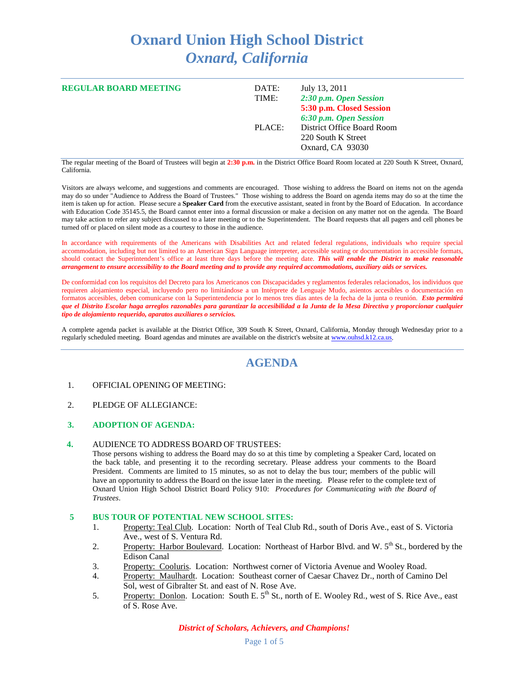# **Oxnard Union High School District** *Oxnard, California*

| <b>REGULAR BOARD MEETING</b> | DATE:<br>TIME: | July 13, 2011<br>2:30 p.m. Open Session                                                                                    |
|------------------------------|----------------|----------------------------------------------------------------------------------------------------------------------------|
|                              | PLACE:         | 5:30 p.m. Closed Session<br>6:30 p.m. Open Session<br>District Office Board Room<br>220 South K Street<br>Oxnard, CA 93030 |

The regular meeting of the Board of Trustees will begin at **2:30 p.m.** in the District Office Board Room located at 220 South K Street, Oxnard, California.

Visitors are always welcome, and suggestions and comments are encouraged. Those wishing to address the Board on items not on the agenda may do so under "Audience to Address the Board of Trustees." Those wishing to address the Board on agenda items may do so at the time the item is taken up for action. Please secure a **Speaker Card** from the executive assistant, seated in front by the Board of Education. In accordance with Education Code 35145.5, the Board cannot enter into a formal discussion or make a decision on any matter not on the agenda. The Board may take action to refer any subject discussed to a later meeting or to the Superintendent. The Board requests that all pagers and cell phones be turned off or placed on silent mode as a courtesy to those in the audience.

In accordance with requirements of the Americans with Disabilities Act and related federal regulations, individuals who require special accommodation, including but not limited to an American Sign Language interpreter, accessible seating or documentation in accessible formats, should contact the Superintendent's office at least three days before the meeting date. *This will enable the District to make reasonable arrangement to ensure accessibility to the Board meeting and to provide any required accommodations, auxiliary aids or services.*

De conformidad con los requisitos del Decreto para los Americanos con Discapacidades y reglamentos federales relacionados, los individuos que requieren alojamiento especial, incluyendo pero no limitándose a un Intérprete de Lenguaje Mudo, asientos accesibles o documentación en formatos accesibles, deben comunicarse con la Superintendencia por lo menos tres días antes de la fecha de la junta o reunión. *Esto permitirá que el Distrito Escolar haga arreglos razonables para garantizar la accesibilidad a la Junta de la Mesa Directiva y proporcionar cualquier tipo de alojamiento requerido, aparatos auxiliares o servicios.*

A complete agenda packet is available at the District Office, 309 South K Street, Oxnard, California, Monday through Wednesday prior to a regularly scheduled meeting. Board agendas and minutes are available on the district's website a[t www.ouhsd.k12.ca.us.](http://www.ouhsd.k12.ca.us/)

# **AGENDA**

#### 1. OFFICIAL OPENING OF MEETING:

2. PLEDGE OF ALLEGIANCE:

### **3. ADOPTION OF AGENDA:**

**4.** AUDIENCE TO ADDRESS BOARD OF TRUSTEES:

Those persons wishing to address the Board may do so at this time by completing a Speaker Card, located on the back table, and presenting it to the recording secretary. Please address your comments to the Board President. Comments are limited to 15 minutes, so as not to delay the bus tour; members of the public will have an opportunity to address the Board on the issue later in the meeting. Please refer to the complete text of Oxnard Union High School District Board Policy 910: *Procedures for Communicating with the Board of Trustees*.

#### **5 BUS TOUR OF POTENTIAL NEW SCHOOL SITES:**

- 1. Property: Teal Club. Location: North of Teal Club Rd., south of Doris Ave., east of S. Victoria Ave., west of S. Ventura Rd.
- 2. Property: Harbor Boulevard. Location: Northeast of Harbor Blvd. and W. 5<sup>th</sup> St., bordered by the Edison Canal
- 3. Property: Cooluris. Location: Northwest corner of Victoria Avenue and Wooley Road.
- 4. Property: Maulhardt. Location: Southeast corner of Caesar Chavez Dr., north of Camino Del Sol, west of Gibralter St. and east of N. Rose Ave.
- 5. Property: Donlon. Location: South E. 5<sup>th</sup> St., north of E. Wooley Rd., west of S. Rice Ave., east of S. Rose Ave.

*District of Scholars, Achievers, and Champions!*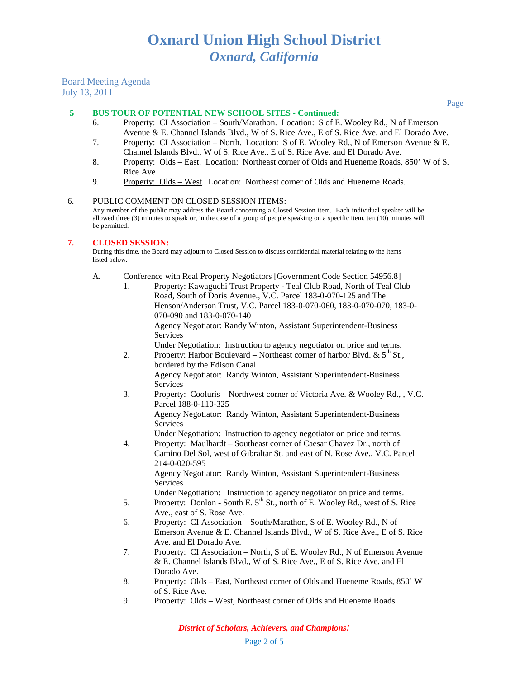# Board Meeting Agenda July 13, 2011

#### **5 BUS TOUR OF POTENTIAL NEW SCHOOL SITES - Continued:**

- 6. Property: CI Association South/Marathon. Location: S of E. Wooley Rd., N of Emerson Avenue & E. Channel Islands Blvd., W of S. Rice Ave., E of S. Rice Ave. and El Dorado Ave.
- 7. Property: CI Association North. Location: S of E. Wooley Rd., N of Emerson Avenue & E. Channel Islands Blvd., W of S. Rice Ave., E of S. Rice Ave. and El Dorado Ave.
- 8. Property: Olds East. Location: Northeast corner of Olds and Hueneme Roads, 850' W of S. Rice Ave
- 9. Property: Olds West. Location: Northeast corner of Olds and Hueneme Roads.

#### 6. PUBLIC COMMENT ON CLOSED SESSION ITEMS:

Any member of the public may address the Board concerning a Closed Session item. Each individual speaker will be allowed three (3) minutes to speak or, in the case of a group of people speaking on a specific item, ten (10) minutes will be permitted.

#### **7. CLOSED SESSION:**

During this time, the Board may adjourn to Closed Session to discuss confidential material relating to the items listed b

A. Conference with Real Property Negotiators [Government Code Section 54956.8]

| UCIUW. |                                                                                                                                                                                                                                                    |
|--------|----------------------------------------------------------------------------------------------------------------------------------------------------------------------------------------------------------------------------------------------------|
|        | Conference with Real Property Negotiators [Government Code Section 54956.8]                                                                                                                                                                        |
| 1.     | Property: Kawaguchi Trust Property - Teal Club Road, North of Teal Club<br>Road, South of Doris Avenue., V.C. Parcel 183-0-070-125 and The<br>Henson/Anderson Trust, V.C. Parcel 183-0-070-060, 183-0-070-070, 183-0-<br>070-090 and 183-0-070-140 |
|        | Agency Negotiator: Randy Winton, Assistant Superintendent-Business<br>Services                                                                                                                                                                     |
|        | Under Negotiation: Instruction to agency negotiator on price and terms.                                                                                                                                                                            |
| 2.     | Property: Harbor Boulevard – Northeast corner of harbor Blvd. & $5^{th}$ St.,<br>bordered by the Edison Canal                                                                                                                                      |
|        | Agency Negotiator: Randy Winton, Assistant Superintendent-Business<br><b>Services</b>                                                                                                                                                              |
| 3.     | Property: Cooluris – Northwest corner of Victoria Ave. & Wooley Rd., , V.C.<br>Parcel 188-0-110-325                                                                                                                                                |
|        | Agency Negotiator: Randy Winton, Assistant Superintendent-Business<br>Services                                                                                                                                                                     |
| 4.     | Under Negotiation: Instruction to agency negotiator on price and terms.<br>Property: Maulhardt - Southeast corner of Caesar Chavez Dr., north of<br>Camino Del Sol, west of Gibraltar St. and east of N. Rose Ave., V.C. Parcel<br>214-0-020-595   |
|        | Agency Negotiator: Randy Winton, Assistant Superintendent-Business<br><b>Services</b>                                                                                                                                                              |
|        | Under Negotiation: Instruction to agency negotiator on price and terms.                                                                                                                                                                            |
| 5.     | Property: Donlon - South E. 5 <sup>th</sup> St., north of E. Wooley Rd., west of S. Rice<br>Ave., east of S. Rose Ave.                                                                                                                             |
| 6.     | Property: CI Association - South/Marathon, S of E. Wooley Rd., N of<br>Emerson Avenue & E. Channel Islands Blvd., W of S. Rice Ave., E of S. Rice                                                                                                  |
| 7.     | Ave. and El Dorado Ave.<br>Property: CI Association - North, S of E. Wooley Rd., N of Emerson Avenue<br>& E. Channel Islands Blvd., W of S. Rice Ave., E of S. Rice Ave. and El                                                                    |
|        | Dorado Ave.                                                                                                                                                                                                                                        |
| 8.     | Property: Olds - East, Northeast corner of Olds and Hueneme Roads, 850' W<br>of S. Rice Ave.                                                                                                                                                       |

9. Property: Olds – West, Northeast corner of Olds and Hueneme Roads.

Page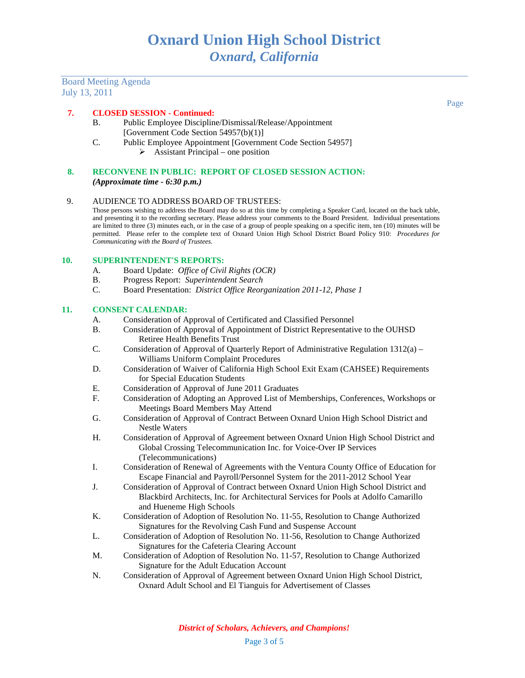Board Meeting Agenda July 13, 2011

#### **7. CLOSED SESSION - Continued:**

- B. Public Employee Discipline/Dismissal/Release/Appointment [Government Code Section 54957(b)(1)]
- C. Public Employee Appointment [Government Code Section 54957]  $\triangleright$  Assistant Principal – one position
- **8. RECONVENE IN PUBLIC: REPORT OF CLOSED SESSION ACTION:** *(Approximate time - 6:30 p.m.)*

#### 9. AUDIENCE TO ADDRESS BOARD OF TRUSTEES:

Those persons wishing to address the Board may do so at this time by completing a Speaker Card, located on the back table, and presenting it to the recording secretary. Please address your comments to the Board President. Individual presentations are limited to three (3) minutes each, or in the case of a group of people speaking on a specific item, ten (10) minutes will be permitted. Please refer to the complete text of Oxnard Union High School District Board Policy 910: *Procedures for Communicating with the Board of Trustees*.

#### **10. SUPERINTENDENT'S REPORTS:**

- A. Board Update: *Office of Civil Rights (OCR)*
- B. Progress Report: *Superintendent Search*
- C. Board Presentation: *District Office Reorganization 2011-12, Phase 1*

#### **11. CONSENT CALENDAR:**

- A. Consideration of Approval of Certificated and Classified Personnel
- B. Consideration of Approval of Appointment of District Representative to the OUHSD Retiree Health Benefits Trust
- C. Consideration of Approval of Quarterly Report of Administrative Regulation 1312(a) Williams Uniform Complaint Procedures
- D. Consideration of Waiver of California High School Exit Exam (CAHSEE) Requirements for Special Education Students
- E. Consideration of Approval of June 2011 Graduates
- F. Consideration of Adopting an Approved List of Memberships, Conferences, Workshops or Meetings Board Members May Attend
- G. Consideration of Approval of Contract Between Oxnard Union High School District and Nestle Waters
- H. Consideration of Approval of Agreement between Oxnard Union High School District and Global Crossing Telecommunication Inc. for Voice-Over IP Services (Telecommunications)
- I. Consideration of Renewal of Agreements with the Ventura County Office of Education for Escape Financial and Payroll/Personnel System for the 2011-2012 School Year
- J. Consideration of Approval of Contract between Oxnard Union High School District and Blackbird Architects, Inc. for Architectural Services for Pools at Adolfo Camarillo and Hueneme High Schools
- K. Consideration of Adoption of Resolution No. 11-55, Resolution to Change Authorized Signatures for the Revolving Cash Fund and Suspense Account
- L. Consideration of Adoption of Resolution No. 11-56, Resolution to Change Authorized Signatures for the Cafeteria Clearing Account
- M. Consideration of Adoption of Resolution No. 11-57, Resolution to Change Authorized Signature for the Adult Education Account
- N. Consideration of Approval of Agreement between Oxnard Union High School District, Oxnard Adult School and El Tianguis for Advertisement of Classes

*District of Scholars, Achievers, and Champions!*

Page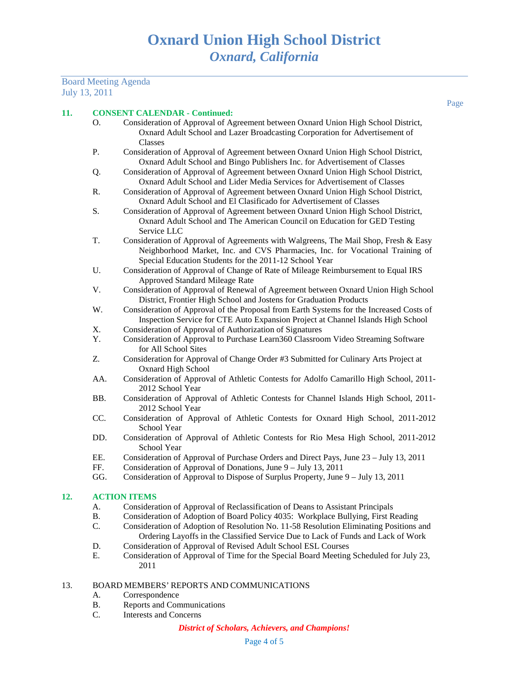# Board Meeting Agenda July 13, 2011

Page

### **11. CONSENT CALENDAR - Continued:**

|           | <b>CONSENT CALENDAR - Continued:</b>                                                                      |
|-----------|-----------------------------------------------------------------------------------------------------------|
| О.        | Consideration of Approval of Agreement between Oxnard Union High School District,                         |
|           | Oxnard Adult School and Lazer Broadcasting Corporation for Advertisement of                               |
|           | Classes                                                                                                   |
| Ρ.        | Consideration of Approval of Agreement between Oxnard Union High School District,                         |
|           | Oxnard Adult School and Bingo Publishers Inc. for Advertisement of Classes                                |
| Q.        | Consideration of Approval of Agreement between Oxnard Union High School District,                         |
|           | Oxnard Adult School and Lider Media Services for Advertisement of Classes                                 |
| R.        | Consideration of Approval of Agreement between Oxnard Union High School District,                         |
|           | Oxnard Adult School and El Clasificado for Advertisement of Classes                                       |
| S.        | Consideration of Approval of Agreement between Oxnard Union High School District,                         |
|           | Oxnard Adult School and The American Council on Education for GED Testing                                 |
|           | Service LLC                                                                                               |
| T.        | Consideration of Approval of Agreements with Walgreens, The Mail Shop, Fresh & Easy                       |
|           | Neighborhood Market, Inc. and CVS Pharmacies, Inc. for Vocational Training of                             |
|           | Special Education Students for the 2011-12 School Year                                                    |
| U.        | Consideration of Approval of Change of Rate of Mileage Reimbursement to Equal IRS                         |
|           | Approved Standard Mileage Rate                                                                            |
| V.        | Consideration of Approval of Renewal of Agreement between Oxnard Union High School                        |
|           | District, Frontier High School and Jostens for Graduation Products                                        |
| W.        | Consideration of Approval of the Proposal from Earth Systems for the Increased Costs of                   |
|           | Inspection Service for CTE Auto Expansion Project at Channel Islands High School                          |
| X.<br>Y.  | Consideration of Approval of Authorization of Signatures                                                  |
|           | Consideration of Approval to Purchase Learn360 Classroom Video Streaming Software<br>for All School Sites |
| Z.        | Consideration for Approval of Change Order #3 Submitted for Culinary Arts Project at                      |
|           | <b>Oxnard High School</b>                                                                                 |
| AA.       | Consideration of Approval of Athletic Contests for Adolfo Camarillo High School, 2011-                    |
|           | 2012 School Year                                                                                          |
| BB.       | Consideration of Approval of Athletic Contests for Channel Islands High School, 2011-                     |
|           | 2012 School Year                                                                                          |
| CC.       | Consideration of Approval of Athletic Contests for Oxnard High School, 2011-2012<br>School Year           |
| DD.       | Consideration of Approval of Athletic Contests for Rio Mesa High School, 2011-2012<br>School Year         |
| EE.       | Consideration of Approval of Purchase Orders and Direct Pays, June 23 - July 13, 2011                     |
| FF.       | Consideration of Approval of Donations, June 9 – July 13, 2011                                            |
| GG.       | Consideration of Approval to Dispose of Surplus Property, June 9 – July 13, 2011                          |
|           |                                                                                                           |
|           | <b>ACTION ITEMS</b>                                                                                       |
| A.        | Consideration of Approval of Reclassification of Deans to Assistant Principals                            |
| <b>B.</b> | Consideration of Adoption of Board Policy 4035: Workplace Bullying, First Reading                         |
| C.        | Consideration of Adoption of Resolution No. 11-58 Resolution Eliminating Positions and                    |

- Ordering Layoffs in the Classified Service Due to Lack of Funds and Lack of Work D. Consideration of Approval of Revised Adult School ESL Courses<br>E. Consideration of Approval of Time for the Special Board Meeting
- E. Consideration of Approval of Time for the Special Board Meeting Scheduled for July 23, 2011
- 13. BOARD MEMBERS' REPORTS AND COMMUNICATIONS
	- A. Correspondence

**12.** 

- B. Reports and Communications
- C. Interests and Concerns